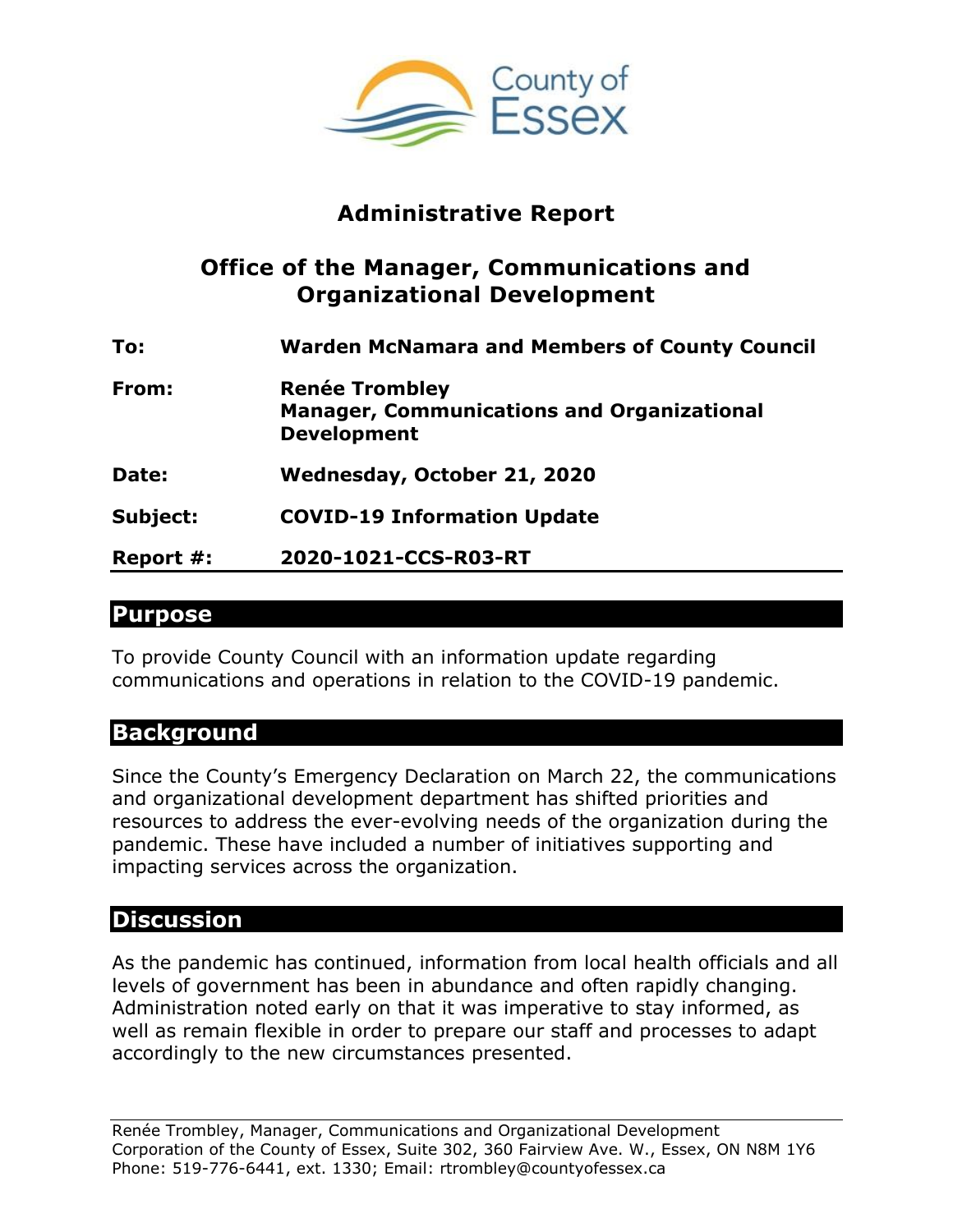

# **Administrative Report**

### **Office of the Manager, Communications and Organizational Development**

| To:       | <b>Warden McNamara and Members of County Council</b>                                             |
|-----------|--------------------------------------------------------------------------------------------------|
| From:     | <b>Renée Trombley</b><br><b>Manager, Communications and Organizational</b><br><b>Development</b> |
| Date:     | Wednesday, October 21, 2020                                                                      |
| Subject:  | <b>COVID-19 Information Update</b>                                                               |
| Report #: | 2020-1021-CCS-R03-RT                                                                             |

#### **Purpose**

To provide County Council with an information update regarding communications and operations in relation to the COVID-19 pandemic.

### **Background**

Since the County's Emergency Declaration on March 22, the communications and organizational development department has shifted priorities and resources to address the ever-evolving needs of the organization during the pandemic. These have included a number of initiatives supporting and impacting services across the organization.

### **Discussion**

As the pandemic has continued, information from local health officials and all levels of government has been in abundance and often rapidly changing. Administration noted early on that it was imperative to stay informed, as well as remain flexible in order to prepare our staff and processes to adapt accordingly to the new circumstances presented.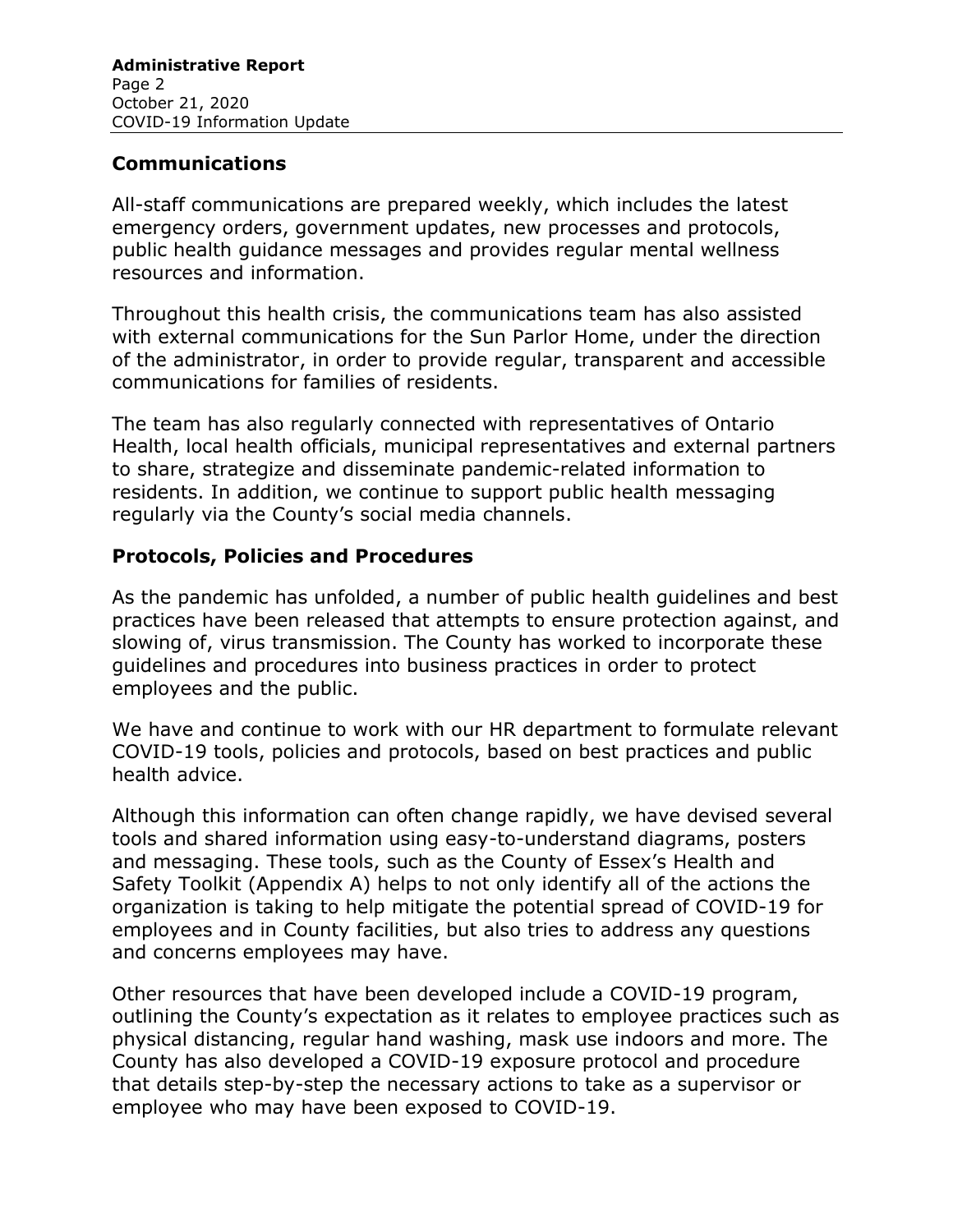#### **Communications**

All-staff communications are prepared weekly, which includes the latest emergency orders, government updates, new processes and protocols, public health guidance messages and provides regular mental wellness resources and information.

Throughout this health crisis, the communications team has also assisted with external communications for the Sun Parlor Home, under the direction of the administrator, in order to provide regular, transparent and accessible communications for families of residents.

The team has also regularly connected with representatives of Ontario Health, local health officials, municipal representatives and external partners to share, strategize and disseminate pandemic-related information to residents. In addition, we continue to support public health messaging regularly via the County's social media channels.

#### **Protocols, Policies and Procedures**

As the pandemic has unfolded, a number of public health guidelines and best practices have been released that attempts to ensure protection against, and slowing of, virus transmission. The County has worked to incorporate these guidelines and procedures into business practices in order to protect employees and the public.

We have and continue to work with our HR department to formulate relevant COVID-19 tools, policies and protocols, based on best practices and public health advice.

Although this information can often change rapidly, we have devised several tools and shared information using easy-to-understand diagrams, posters and messaging. These tools, such as the County of Essex's Health and Safety Toolkit (Appendix A) helps to not only identify all of the actions the organization is taking to help mitigate the potential spread of COVID-19 for employees and in County facilities, but also tries to address any questions and concerns employees may have.

Other resources that have been developed include a COVID-19 program, outlining the County's expectation as it relates to employee practices such as physical distancing, regular hand washing, mask use indoors and more. The County has also developed a COVID-19 exposure protocol and procedure that details step-by-step the necessary actions to take as a supervisor or employee who may have been exposed to COVID-19.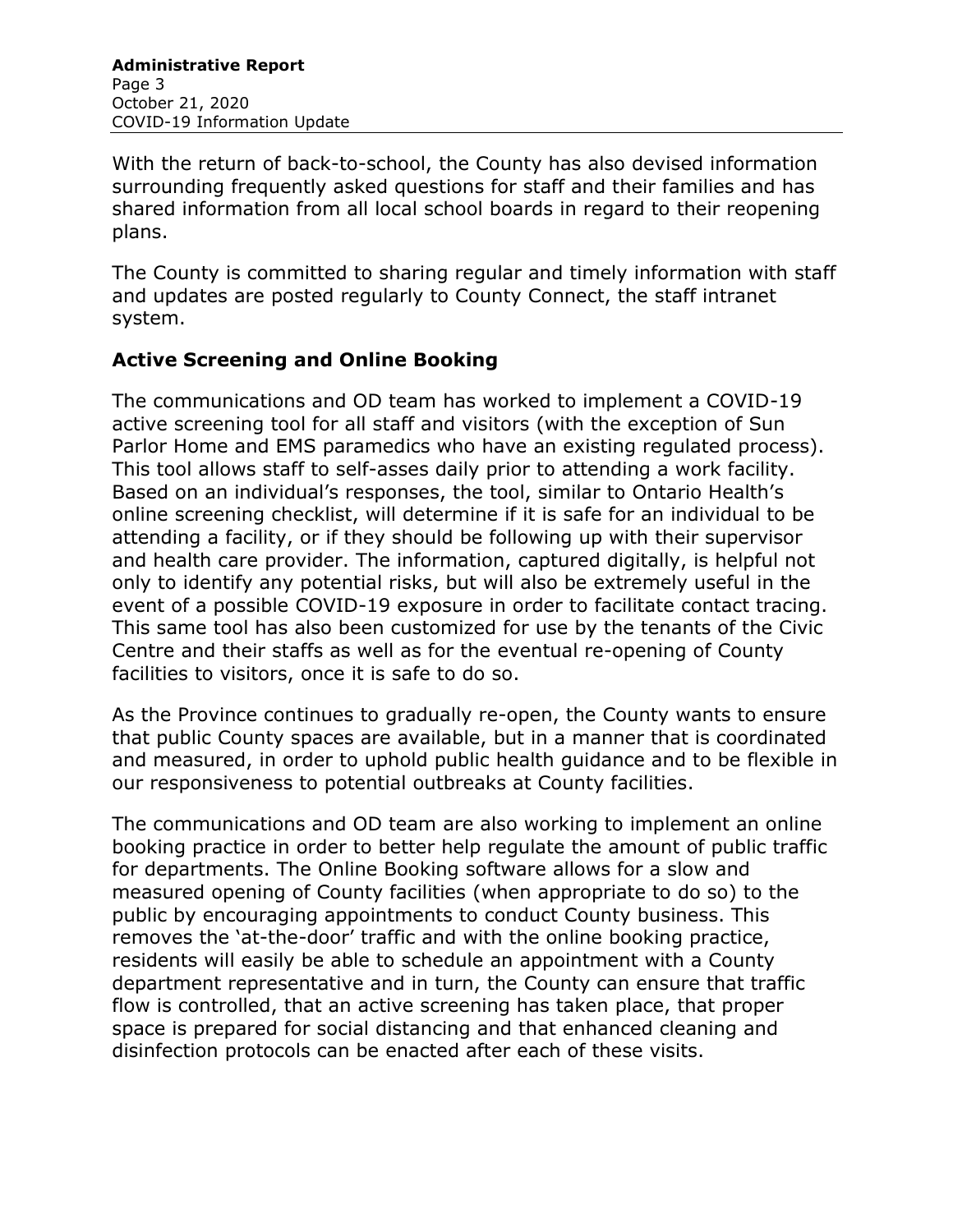With the return of back-to-school, the County has also devised information surrounding frequently asked questions for staff and their families and has shared information from all local school boards in regard to their reopening plans.

The County is committed to sharing regular and timely information with staff and updates are posted regularly to County Connect, the staff intranet system.

#### **Active Screening and Online Booking**

The communications and OD team has worked to implement a COVID-19 active screening tool for all staff and visitors (with the exception of Sun Parlor Home and EMS paramedics who have an existing regulated process). This tool allows staff to self-asses daily prior to attending a work facility. Based on an individual's responses, the tool, similar to Ontario Health's online screening checklist, will determine if it is safe for an individual to be attending a facility, or if they should be following up with their supervisor and health care provider. The information, captured digitally, is helpful not only to identify any potential risks, but will also be extremely useful in the event of a possible COVID-19 exposure in order to facilitate contact tracing. This same tool has also been customized for use by the tenants of the Civic Centre and their staffs as well as for the eventual re-opening of County facilities to visitors, once it is safe to do so.

As the Province continues to gradually re-open, the County wants to ensure that public County spaces are available, but in a manner that is coordinated and measured, in order to uphold public health guidance and to be flexible in our responsiveness to potential outbreaks at County facilities.

The communications and OD team are also working to implement an online booking practice in order to better help regulate the amount of public traffic for departments. The Online Booking software allows for a slow and measured opening of County facilities (when appropriate to do so) to the public by encouraging appointments to conduct County business. This removes the 'at-the-door' traffic and with the online booking practice, residents will easily be able to schedule an appointment with a County department representative and in turn, the County can ensure that traffic flow is controlled, that an active screening has taken place, that proper space is prepared for social distancing and that enhanced cleaning and disinfection protocols can be enacted after each of these visits.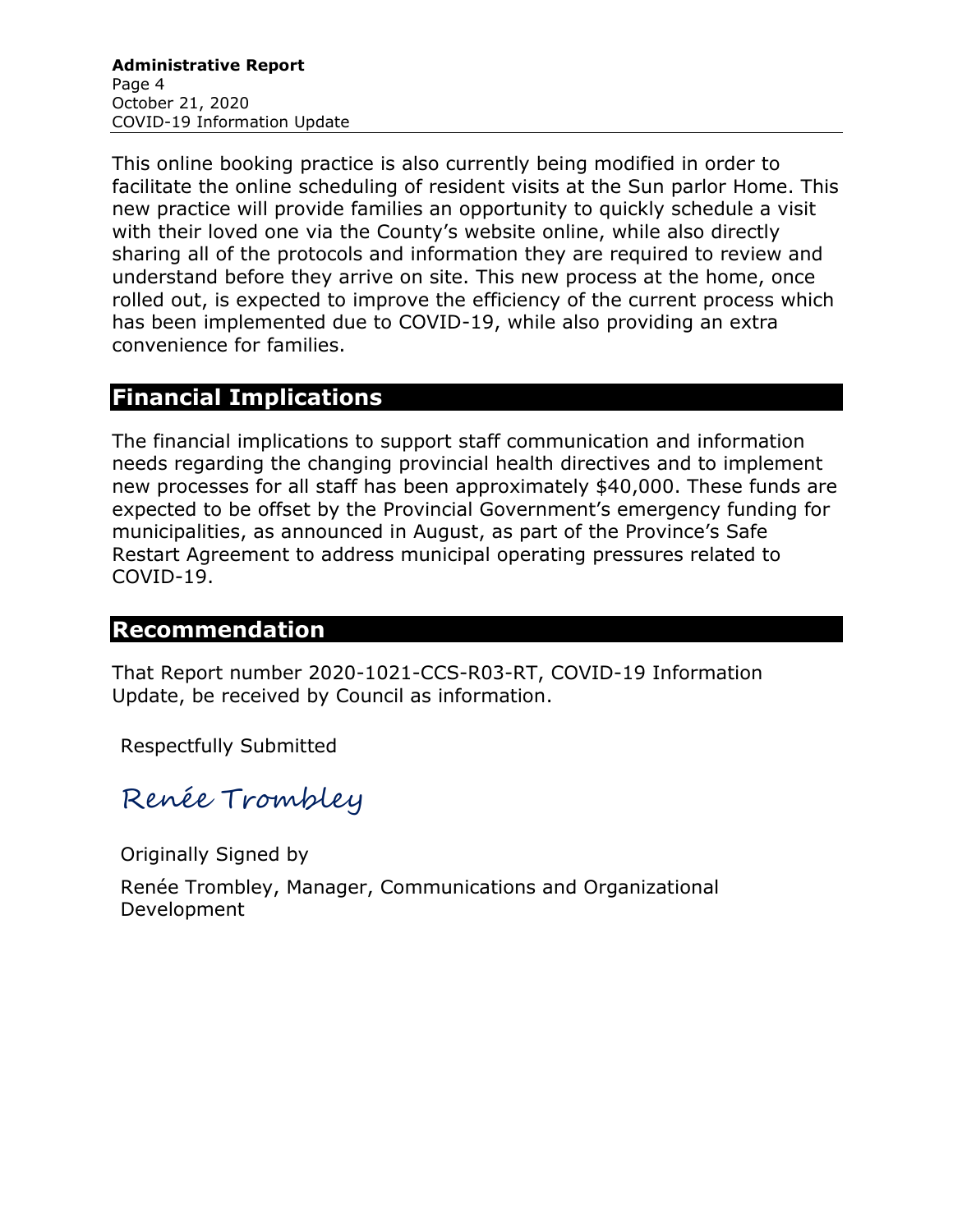This online booking practice is also currently being modified in order to facilitate the online scheduling of resident visits at the Sun parlor Home. This new practice will provide families an opportunity to quickly schedule a visit with their loved one via the County's website online, while also directly sharing all of the protocols and information they are required to review and understand before they arrive on site. This new process at the home, once rolled out, is expected to improve the efficiency of the current process which has been implemented due to COVID-19, while also providing an extra convenience for families.

## **Financial Implications**

The financial implications to support staff communication and information needs regarding the changing provincial health directives and to implement new processes for all staff has been approximately \$40,000. These funds are expected to be offset by the Provincial Government's emergency funding for municipalities, as announced in August, as part of the Province's Safe Restart Agreement to address municipal operating pressures related to COVID-19.

## **Recommendation**

That Report number 2020-1021-CCS-R03-RT, COVID-19 Information Update, be received by Council as information.

Respectfully Submitted

Renée Trombley

Originally Signed by

Renée Trombley, Manager, Communications and Organizational Development